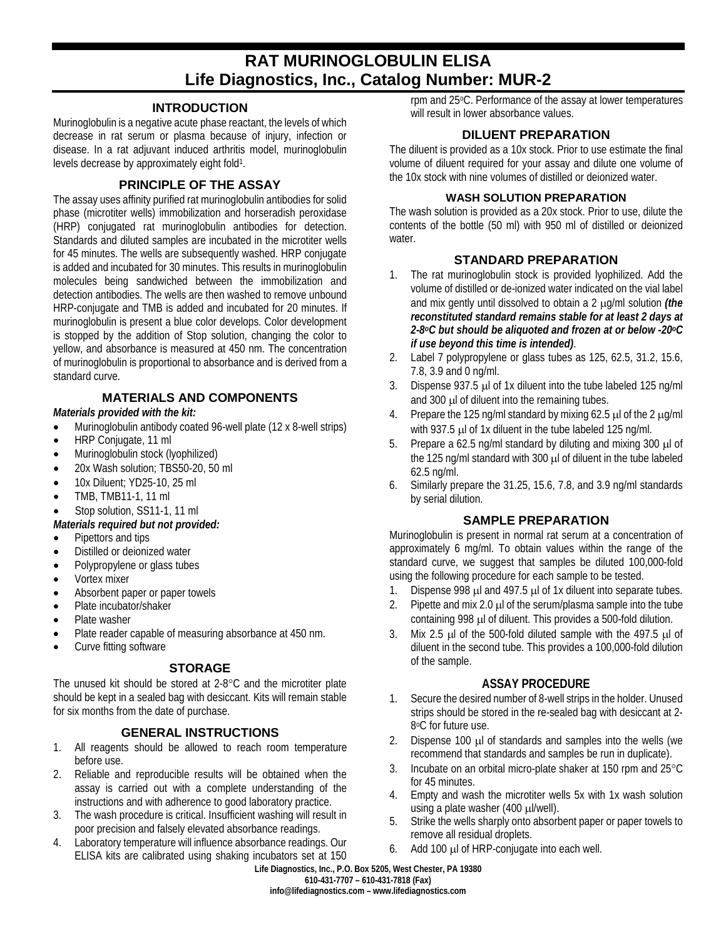# **RAT MURINOGLOBULIN ELISA Life Diagnostics, Inc., Catalog Number: MUR-2**

#### **INTRODUCTION**

Murinoglobulin is a negative acute phase reactant, the levels of which decrease in rat serum or plasma because of injury, infection or disease. In a rat adjuvant induced arthritis model, murinoglobulin levels decrease by approximately eight fold<sup>1</sup>.

### **PRINCIPLE OF THE ASSAY**

The assay uses affinity purified rat murinoglobulin antibodies for solid phase (microtiter wells) immobilization and horseradish peroxidase (HRP) conjugated rat murinoglobulin antibodies for detection. Standards and diluted samples are incubated in the microtiter wells for 45 minutes. The wells are subsequently washed. HRP conjugate is added and incubated for 30 minutes. This results in murinoglobulin molecules being sandwiched between the immobilization and detection antibodies. The wells are then washed to remove unbound HRP-conjugate and TMB is added and incubated for 20 minutes. If murinoglobulin is present a blue color develops. Color development is stopped by the addition of Stop solution, changing the color to yellow, and absorbance is measured at 450 nm. The concentration of murinoglobulin is proportional to absorbance and is derived from a standard curve.

# **MATERIALS AND COMPONENTS**

#### *Materials provided with the kit:*

- Murinoglobulin antibody coated 96-well plate (12 x 8-well strips)
- HRP Conjugate, 11 ml
- Murinoglobulin stock (lyophilized)
- 20x Wash solution; TBS50-20, 50 ml
- 10x Diluent; YD25-10, 25 ml
- TMB, TMB11-1, 11 ml
- Stop solution, SS11-1, 11 ml

#### *Materials required but not provided:*

- Pipettors and tips
- Distilled or deionized water
- Polypropylene or glass tubes
- Vortex mixer
- Absorbent paper or paper towels
- Plate incubator/shaker
- Plate washer
- Plate reader capable of measuring absorbance at 450 nm.
- Curve fitting software

#### **STORAGE**

The unused kit should be stored at 2-8°C and the microtiter plate should be kept in a sealed bag with desiccant. Kits will remain stable for six months from the date of purchase.

#### **GENERAL INSTRUCTIONS**

- 1. All reagents should be allowed to reach room temperature before use.
- 2. Reliable and reproducible results will be obtained when the assay is carried out with a complete understanding of the instructions and with adherence to good laboratory practice.
- 3. The wash procedure is critical. Insufficient washing will result in poor precision and falsely elevated absorbance readings.
- 4. Laboratory temperature will influence absorbance readings. Our ELISA kits are calibrated using shaking incubators set at 150

rpm and 25oC. Performance of the assay at lower temperatures will result in lower absorbance values.

#### **DILUENT PREPARATION**

The diluent is provided as a 10x stock. Prior to use estimate the final volume of diluent required for your assay and dilute one volume of the 10x stock with nine volumes of distilled or deionized water.

#### **WASH SOLUTION PREPARATION**

The wash solution is provided as a 20x stock. Prior to use, dilute the contents of the bottle (50 ml) with 950 ml of distilled or deionized water.

## **STANDARD PREPARATION**

- 1. The rat murinoglobulin stock is provided lyophilized. Add the volume of distilled or de-ionized water indicated on the vial label and mix gently until dissolved to obtain a 2 µg/ml solution *(the reconstituted standard remains stable for at least 2 days at 2-8oC but should be aliquoted and frozen at or below -20oC if use beyond this time is intended)*.
- 2. Label 7 polypropylene or glass tubes as 125, 62.5, 31.2, 15.6, 7.8, 3.9 and 0 ng/ml.
- 3. Dispense 937.5 µl of 1x diluent into the tube labeled 125 ng/ml and 300 µl of diluent into the remaining tubes.
- 4. Prepare the 125 ng/ml standard by mixing 62.5  $\mu$  of the 2  $\mu$ g/ml with 937.5 µl of 1x diluent in the tube labeled 125 ng/ml.
- 5. Prepare a 62.5 ng/ml standard by diluting and mixing 300 µl of the 125 ng/ml standard with 300 µl of diluent in the tube labeled 62.5 ng/ml.
- 6. Similarly prepare the 31.25, 15.6, 7.8, and 3.9 ng/ml standards by serial dilution.

#### **SAMPLE PREPARATION**

Murinoglobulin is present in normal rat serum at a concentration of approximately 6 mg/ml. To obtain values within the range of the standard curve, we suggest that samples be diluted 100,000-fold using the following procedure for each sample to be tested.

- 1. Dispense 998 µl and 497.5 µl of 1x diluent into separate tubes.
- 2. Pipette and mix 2.0  $\mu$  of the serum/plasma sample into the tube containing 998 µl of diluent. This provides a 500-fold dilution.
- 3. Mix 2.5  $\mu$ l of the 500-fold diluted sample with the 497.5  $\mu$ l of diluent in the second tube. This provides a 100,000-fold dilution of the sample.

#### **ASSAY PROCEDURE**

- 1. Secure the desired number of 8-well strips in the holder. Unused strips should be stored in the re-sealed bag with desiccant at 2- 8°C for future use.
- 2. Dispense 100 µl of standards and samples into the wells (we recommend that standards and samples be run in duplicate).
- 3. Incubate on an orbital micro-plate shaker at 150 rpm and 25°C for 45 minutes.
- 4. Empty and wash the microtiter wells 5x with 1x wash solution using a plate washer (400 µl/well).
- 5. Strike the wells sharply onto absorbent paper or paper towels to remove all residual droplets.
- 6. Add 100 µl of HRP-conjugate into each well.